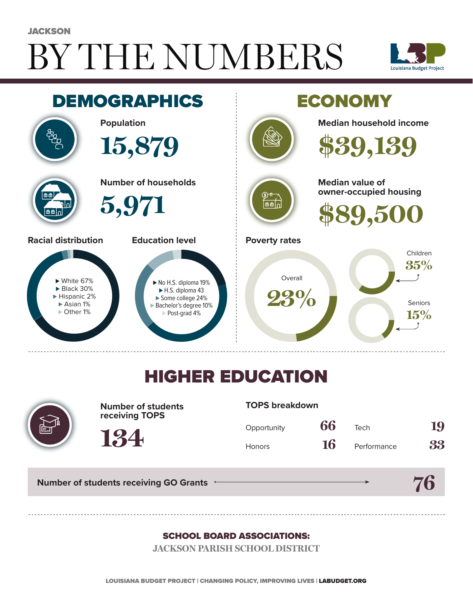# BY THE NUMBERS **JACKSON**





## HIGHER EDUCATION



**Number of students receiving TOPS**

#### **TOPS breakdown**

| Opportunity   | 66 | Tech        | 19 |
|---------------|----|-------------|----|
| <b>Honors</b> | 16 | Performance | 33 |

**Number of students receiving GO Grants**

**134**

# **76**

#### SCHOOL BOARD ASSOCIATIONS:

**JACKSON PARISH SCHOOL DISTRICT**